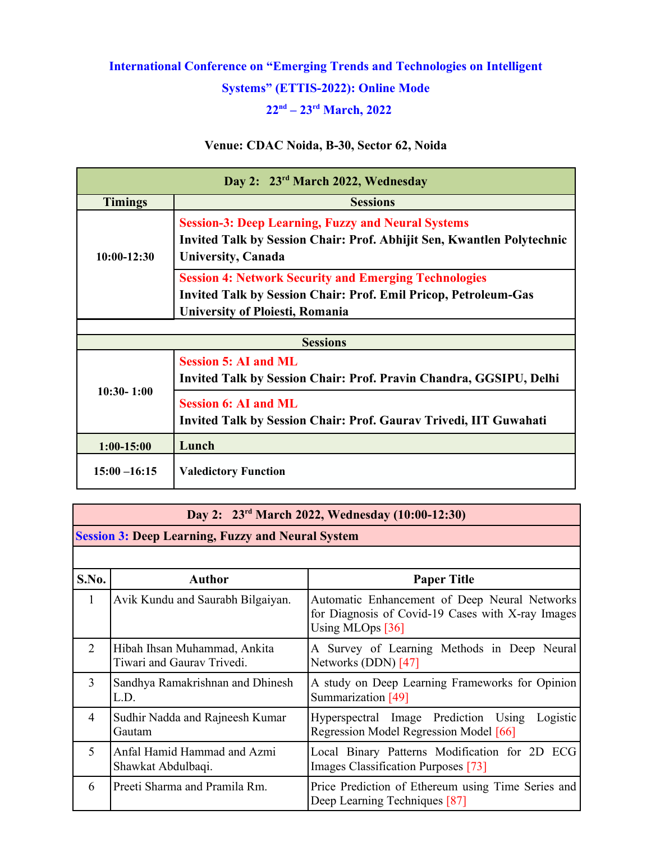# **International Conference on "Emerging Trends and Technologies on Intelligent Systems" (ETTIS-2022): Online Mode 22nd – 23rd March, 2022**

### **Venue: CDAC Noida, B-30, Sector 62, Noida**

| Day 2: 23rd March 2022, Wednesday      |                                                                                                                                                                  |  |
|----------------------------------------|------------------------------------------------------------------------------------------------------------------------------------------------------------------|--|
| <b>Timings</b>                         | <b>Sessions</b>                                                                                                                                                  |  |
| $10:00-12:30$                          | <b>Session-3: Deep Learning, Fuzzy and Neural Systems</b><br>Invited Talk by Session Chair: Prof. Abhijit Sen, Kwantlen Polytechnic<br><b>University, Canada</b> |  |
|                                        | <b>Session 4: Network Security and Emerging Technologies</b><br><b>Invited Talk by Session Chair: Prof. Emil Pricop, Petroleum-Gas</b>                           |  |
| <b>University of Ploiesti, Romania</b> |                                                                                                                                                                  |  |
|                                        |                                                                                                                                                                  |  |
|                                        | <b>Sessions</b>                                                                                                                                                  |  |
| $10:30 - 1:00$                         | <b>Session 5: AI and ML</b><br>Invited Talk by Session Chair: Prof. Pravin Chandra, GGSIPU, Delhi                                                                |  |
|                                        | <b>Session 6: AI and ML</b><br>Invited Talk by Session Chair: Prof. Gaurav Trivedi, IIT Guwahati                                                                 |  |
| $1:00-15:00$                           | Lunch                                                                                                                                                            |  |
| $15:00 - 16:15$                        | <b>Valedictory Function</b>                                                                                                                                      |  |

#### **Day 2: 23rd March 2022, Wednesday (10:00-12:30)**

**Session 3: Deep Learning, Fuzzy and Neural System**

| S.No.          | <b>Author</b>                                              | <b>Paper Title</b>                                                                                                       |
|----------------|------------------------------------------------------------|--------------------------------------------------------------------------------------------------------------------------|
| 1              | Avik Kundu and Saurabh Bilgaiyan.                          | Automatic Enhancement of Deep Neural Networks<br>for Diagnosis of Covid-19 Cases with X-ray Images<br>Using MLOps $[36]$ |
| $\overline{2}$ | Hibah Ihsan Muhammad, Ankita<br>Tiwari and Gaurav Trivedi. | A Survey of Learning Methods in Deep Neural<br>Networks (DDN) [47]                                                       |
| 3              | Sandhya Ramakrishnan and Dhinesh<br>L.D.                   | A study on Deep Learning Frameworks for Opinion<br>Summarization [49]                                                    |
| $\overline{4}$ | Sudhir Nadda and Rajneesh Kumar<br>Gautam                  | Hyperspectral Image Prediction Using<br>Logistic<br>Regression Model Regression Model [66]                               |
| 5              | Anfal Hamid Hammad and Azmi<br>Shawkat Abdulbaqi.          | Local Binary Patterns Modification for 2D ECG<br>Images Classification Purposes [73]                                     |
| 6              | Preeti Sharma and Pramila Rm.                              | Price Prediction of Ethereum using Time Series and<br>Deep Learning Techniques [87]                                      |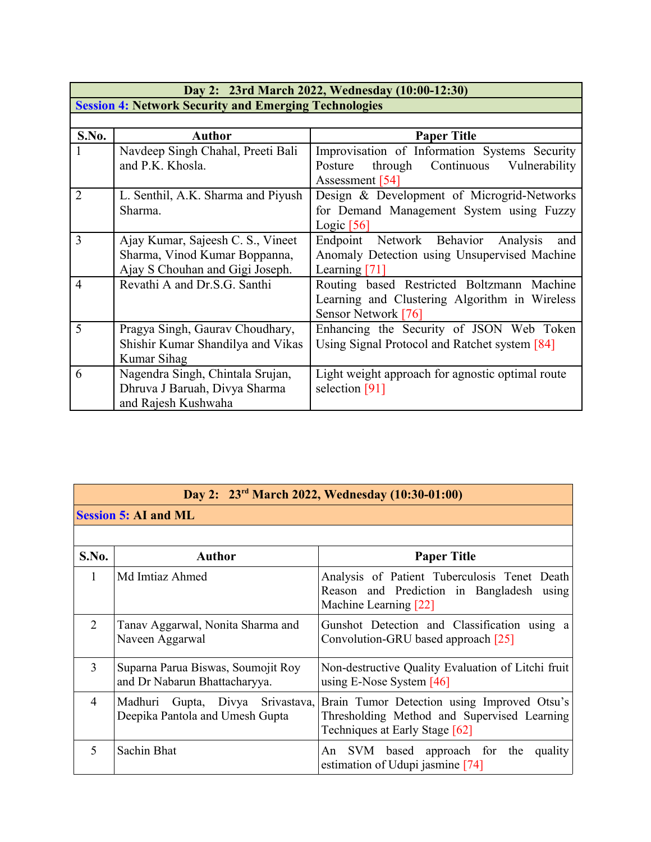|                                                              | Day 2: 23rd March 2022, Wednesday (10:00-12:30) |                                                  |  |
|--------------------------------------------------------------|-------------------------------------------------|--------------------------------------------------|--|
| <b>Session 4: Network Security and Emerging Technologies</b> |                                                 |                                                  |  |
|                                                              |                                                 |                                                  |  |
| S.No.                                                        | <b>Author</b>                                   | <b>Paper Title</b>                               |  |
|                                                              | Navdeep Singh Chahal, Preeti Bali               | Improvisation of Information Systems Security    |  |
|                                                              | and P.K. Khosla.                                | through Continuous<br>Posture<br>Vulnerability   |  |
|                                                              |                                                 | Assessment [54]                                  |  |
| $\overline{2}$                                               | L. Senthil, A.K. Sharma and Piyush              | Design & Development of Microgrid-Networks       |  |
|                                                              | Sharma.                                         | for Demand Management System using Fuzzy         |  |
|                                                              |                                                 | Logic $[56]$                                     |  |
| 3                                                            | Ajay Kumar, Sajeesh C. S., Vineet               | Endpoint Network Behavior<br>Analysis<br>and     |  |
|                                                              | Sharma, Vinod Kumar Boppanna,                   | Anomaly Detection using Unsupervised Machine     |  |
|                                                              | Ajay S Chouhan and Gigi Joseph.                 | Learning [71]                                    |  |
| $\overline{4}$                                               | Revathi A and Dr.S.G. Santhi                    | Routing based Restricted Boltzmann Machine       |  |
|                                                              |                                                 | Learning and Clustering Algorithm in Wireless    |  |
|                                                              |                                                 | Sensor Network [76]                              |  |
| 5                                                            | Pragya Singh, Gauray Choudhary,                 | Enhancing the Security of JSON Web Token         |  |
|                                                              | Shishir Kumar Shandilya and Vikas               | Using Signal Protocol and Ratchet system [84]    |  |
|                                                              | Kumar Sihag                                     |                                                  |  |
| 6                                                            | Nagendra Singh, Chintala Srujan,                | Light weight approach for agnostic optimal route |  |
|                                                              | Dhruva J Baruah, Divya Sharma                   | selection [91]                                   |  |
|                                                              | and Rajesh Kushwaha                             |                                                  |  |

# **Day 2: 23rd March 2022, Wednesday (10:30-01:00)**

| <b>Session 5: AI and ML</b> |  |  |
|-----------------------------|--|--|
|                             |  |  |

| S.No.          | <b>Author</b>                                                       | <b>Paper Title</b>                                                                                                           |
|----------------|---------------------------------------------------------------------|------------------------------------------------------------------------------------------------------------------------------|
|                |                                                                     |                                                                                                                              |
| 1              | Md Imtiaz Ahmed                                                     | Analysis of Patient Tuberculosis Tenet Death<br>Reason and Prediction in Bangladesh using<br>Machine Learning [22]           |
| $\overline{2}$ | Tanav Aggarwal, Nonita Sharma and<br>Naveen Aggarwal                | Gunshot Detection and Classification using a<br>Convolution-GRU based approach [25]                                          |
| 3              | Suparna Parua Biswas, Soumojit Roy<br>and Dr Nabarun Bhattacharyya. | Non-destructive Quality Evaluation of Litchi fruit<br>using E-Nose System $[46]$                                             |
| 4              | Madhuri Gupta, Divya Srivastava,<br>Deepika Pantola and Umesh Gupta | Brain Tumor Detection using Improved Otsu's<br>Thresholding Method and Supervised Learning<br>Techniques at Early Stage [62] |
|                | Sachin Bhat                                                         | An SVM based approach for the quality<br>estimation of Udupi jasmine [74]                                                    |